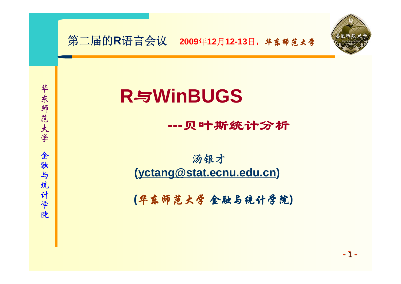

# **R**与**WinBUGS**

#### **---**贝叶斯统计分析

#### 汤银才 **[\(yctang@stat.ecnu.edu.cn](mailto:yctang@stat.ecnu.edu.cn))**

**(**华东师范大学 金融与统计学院**)**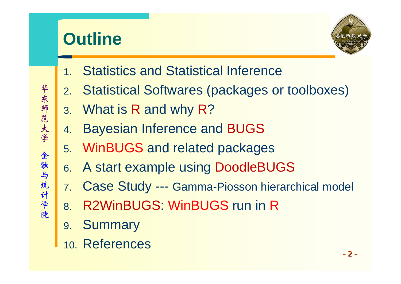

- 1.Statistics and Statistical Inference
- 2.Statistical Softwares (packages or toolboxes)
- 3. What is R and why R ?
- 4.Bayesian Inference and BUGS
- 5. WinBUGS and related packages
- 6. A start example using DoodleBUGS
- 7. Case Study --- Gamma-Piosson hierarchical model
- 8. R2WinBUGS: WinBUGS run in R
- 9. Summary
- 10. References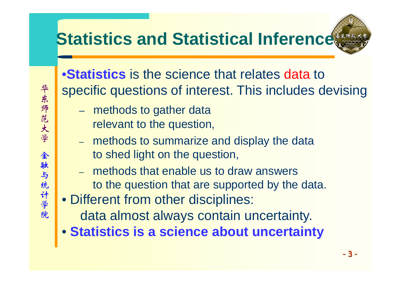# **Statistics and Statistical Inference**

•**Statistics** is the science that relates data to specific questions of interest. This includes devising

- $\mathcal{L}_{\mathcal{A}}$  , and the set of  $\mathcal{L}_{\mathcal{A}}$  methods to gather data relevant to the question,
- – methods to summarize and display the data to shed light on the question,
- methods that enable us to draw answers to the question that are supported by the data.
- Different from other disciplines:
	- data almost always contain uncertainty.
- **Statistics is a science about uncertainty**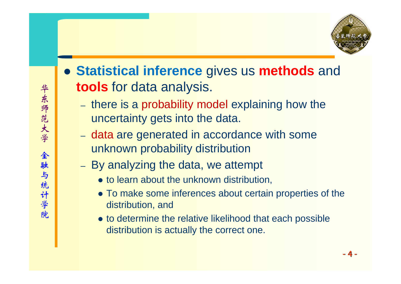

- **Statistical inference** gives us **methods** and **tools** for data analysis.
	- –- there is a probability model explaining how the uncertainty gets into the data.
	- data are generated in accordance with some unknown probability distribution
	- –- By analyzing the data, we attempt
		- $\bullet$  to learn about the unknown distribution,
		- To make some inferences about certain properties of the distribution, and
		- to determine the relative likelihood that each possible distribution is actually the correct one.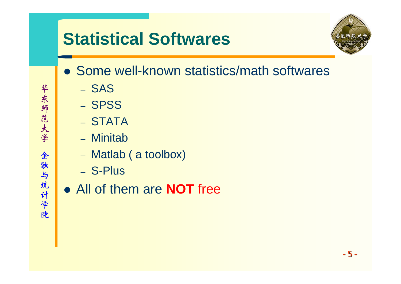### **Statistical Softwares**

- 
- Some well-known statistics/math softwares
	- SAS
	- SPSS
	- STATA
	- Minitab
	- Matlab ( a toolbox)
	- S-Plus
- All of them are **NOT** free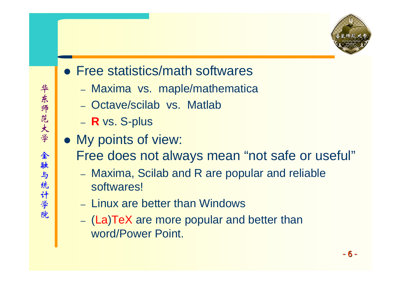

- Free statistics/math softwares
	- Maxima vs. maple/mathematica
	- Octave/scilab vs. Matlab
	- **R** vs. S-plus
- My points of view:

Free does not always mean "not safe or useful"

- – Maxima, Scilab and R are popular and reliable softwares!
- Linux are better than Windows
- (La )TeX are more popular and better than word/Power Point.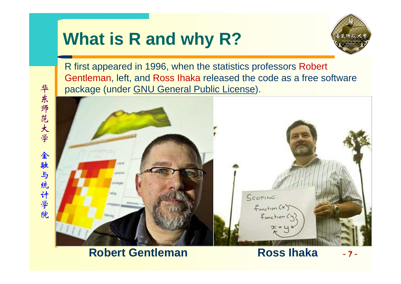### **What is R and why R?**



R first appeared in 1996, when the statistics professors Robert Gentleman, left, and Ross Ihaka released the code as a free software package (under GNU [General Public License](http://www.r-project.org/COPYING)).



#### **Robert Gentleman**

-7-**Ross Ihaka**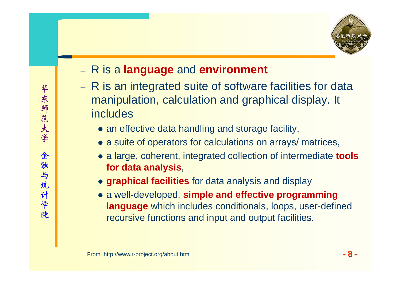

#### R is a **language** and **environment**

- –- R is an integrated suite of software facilities for data manipulation, calculation and graphical display. It includes
	- an effective data handling and storage facility,
	- a suite of operators for calculations on arrays/ matrices,
	- a large, coherent, integrated collection of intermediate **tools for data analysis**,
	- **graphical facilities** for data analysis and display
	- **•** a well-developed, simple and effective programming **language** which includes conditionals, loops, user-defined recursive functions and input and output facilities.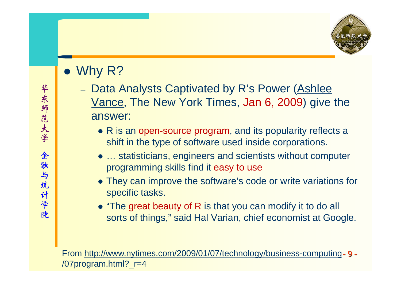

- $\bullet\,$  Why R?
	- Data Analysts Captivated by R's Power (Ashlee [Vance](http://topics.nytimes.com/top/reference/timestopics/people/v/ashlee_vance/index.html?inline=nyt-per), The New York Times, Jan 6, 2009) give the answer:
		- $\bullet$  R is an open-source program, and its popularity reflects a shift in the type of software used inside corporations.
		- ... statisticians, engineers and scientists without computer programming skills find it easy to use
		- They can improve the software's code or write variations for specific tasks.
		- $\bullet$  "The great beauty of R is that you can modify it to do all sorts of things," said Hal Varian, chief economist at Google.

-9- From http://ww[w.nytimes.com/2009/01/07/technology/business-computing](http://www.nytimes.com/2009/01/07/technology/business-computing) /07program.html?\_r=4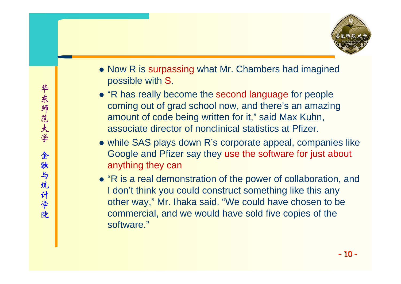

- Now R is surpassing what Mr. Chambers had imagined possible with S.
- "R has really become the second language for people coming out of grad school now, and there's an amazing amount of code being written for it," said Max Kuhn, associate director of nonclinical statistics at Pfizer.
- while SAS plays down R's corporate appeal, companies like Google and Pfizer say they use the software for just about anything they can
- "R is a real demonstration of the power of collaboration, and I don't think you could construct something like this any other way," Mr. Ihaka said. "We could have chosen to be commercial, and we would have sold five copies of the software."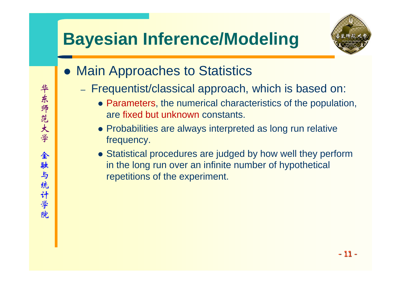### **Bayesian Inference/Modeling**



- Main Approaches to Statistics
	- Frequentist/classical approach, which is based on:
		- Parameters, the numerical characteristics of the population, are fixed but unknown constants.
		- Probabilities are always interpreted as long run relative frequency.
		- Statistical procedures are judged by how well they perform in the long run over an infinite number of hypothetical repetitions of the experiment.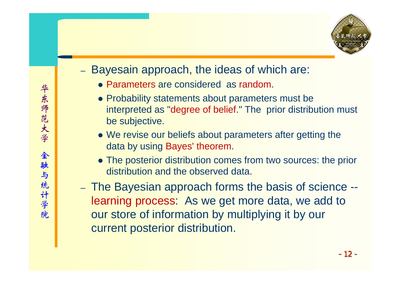

#### Bayesain approach, the ideas of which are:

- Parameters are considered as random.
- Probability statements about parameters must be interpreted as "degree of belief." The prior distribution must be subjective.
- We revise our beliefs about parameters after getting the data by using Bayes' theorem.
- The posterior distribution comes from two sources: the prior distribution and the observed data.
- The Bayesian approach forms the basis of science learning process: As we get more data, we add to our store of information by multiplying it by our current posterior distribution.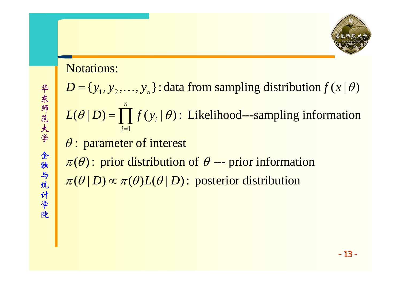

#### Notations:

 $D = \{y_1, y_2, \ldots, y_n\}$ : data from sampling distribution  $f(x | \theta)$ 

1*i*= $(\theta | D) = \prod f(y_i | \theta)$ : Likelihood---sampling information *n*  $L(\theta | D) = \int f(y_i | \theta)$ ∏

 $\theta$ : parameter of interest

 $\pi(\theta)$ : prior distribution of  $\theta$  --- prior information  $\pi(\theta | D) \propto \pi(\theta) L(\theta | D)$ : posterior distribution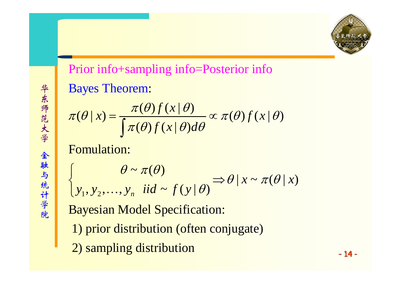

 $\bigg\{$ 

### **Bayes Theorem:** Prior info+sampling info=Posterior info

$$
\pi(\theta \mid x) = \frac{\pi(\theta) f(x \mid \theta)}{\int \pi(\theta) f(x \mid \theta) d\theta} \propto \pi(\theta) f(x \mid \theta)
$$

Fomulation:

$$
\begin{cases}\n\theta \sim \pi(\theta) \\
y_1, y_2, \dots, y_n \text{ iid } \sim f(y | \theta)\n\end{cases} \Rightarrow \theta | x \sim \pi(\theta | x)
$$

Bayesian Model Specification:

- 1) prior distribution (often conjugate)
- 2) sampling distribution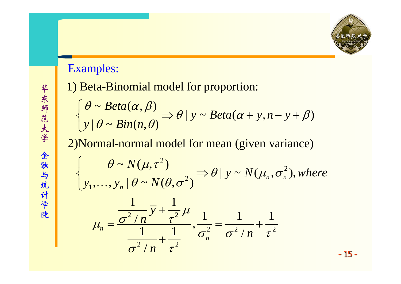

#### Examples:

1) Beta-Binomial model for proportio n:

$$
\begin{cases}\n\theta \sim Beta(\alpha, \beta) \\
y \mid \theta \sim Bin(n, \theta)\n\end{cases} \Rightarrow \theta \mid y \sim Beta(\alpha + y, n - y + \beta)
$$

2)Normal-normal model for me an (given variance)

$$
\oint_{\mathcal{Y}_1, ..., \mathcal{Y}_n} \left\{ \begin{aligned} & \theta \sim N(\mu, \tau^2) \\ & \mathcal{Y}_1, ..., \mathcal{Y}_n \mid \theta \sim N(\theta, \sigma^2) \end{aligned} \right. \Rightarrow \theta \mid \mathcal{Y} \sim N(\mu_n, \sigma_n^2), \text{where} \\ \mu_n = \frac{\frac{1}{\sigma^2 / n} \mathcal{Y} + \frac{1}{\tau^2}}{\frac{1}{\sigma^2 / n} + \frac{1}{\tau^2}}, \frac{1}{\sigma_n^2} = \frac{1}{\sigma^2 / n} + \frac{1}{\tau^2}
$$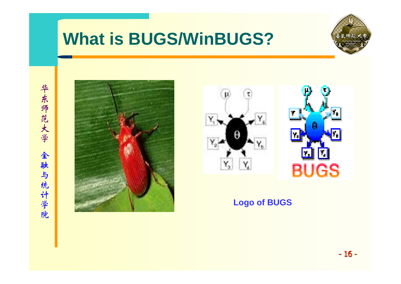### **What is BUGS/WinBUGS?**







#### **Logo of BUGS**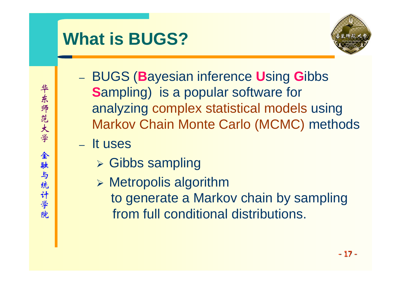### **What is BUGS?**



- BUGS ( **B**ayesian inference **U**sing **G**ibbs **S**ampling) is a popular software for analyzing complex statistical models using Markov Chain Monte Carlo (MCMC) methods
- It uses
	- ¾ Gibbs sampling
	- ¾ Metropolis algorithm to generate a Markov chain by sampling from full conditional distributions.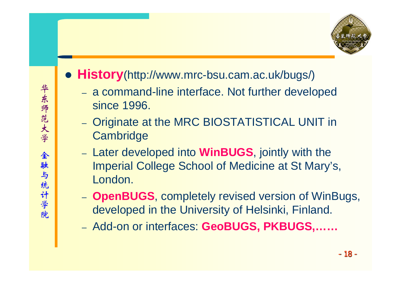- z **History**(http://www.mrc-bsu.cam.ac.uk/bugs/)
	- a command-line interface. Not further developed since 1996.
	- Originate at the MRC BIOSTATISTICAL UNIT in **Cambridge**
	- Later developed into **WinBUGS**, jointly with the Imperial College School of Medicine at St Mary's, London.
	- **OpenBUGS**, completely revised version of WinBugs, developed in the University of Helsinki, Finland.
	- Add-on or interfaces: **GeoBUGS, PKBUGS,……**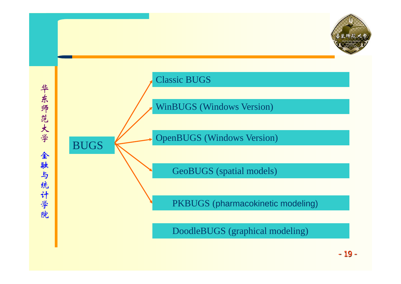

- 19 -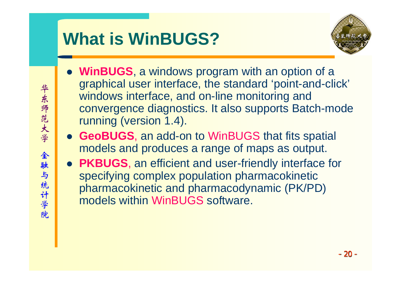# **What is WinBUGS?**



- **WinBUGS**, a windows program with an option of a graphical user interface, the standard 'point-and-click' windows interface, and on-line monitoring and convergence diagnostics. It also supports Batch-mode running (version 1.4).
- **GeoBUGS**, an add-on to WinBUGS that fits spatial models and produces a range of maps as output.
- **PKBUGS**, an efficient and user-friendly interface for specifying complex population pharmacokinetic pharmacokinetic and pharmacodynamic (PK/PD) models within WinBUGS software.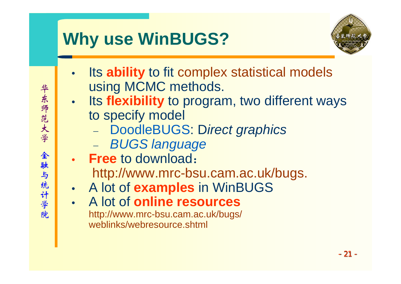## **Why use WinBUGS?**



- • Its **ability** to fit complex statistical models using MCMC methods.
- •**• Its flexibility** to program, two different ways to specify model
	- DoodleBUGS: D*irect graphics*
	- *BUGS language*
- **Free** to download:http://www.mrc-bsu.cam.ac.uk/bugs.
- •A lot of **examples** in WinBUGS
- • A lot of **online resources**http://www.mrc-bsu.cam.ac.uk/bugs/ weblinks/webresource.shtml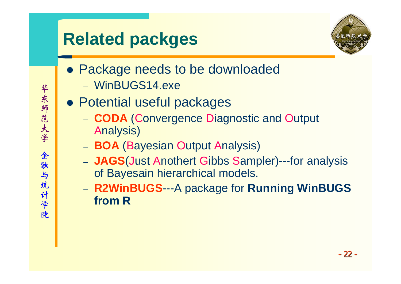# **Related packges**



- Package needs to be downloaded
	- WinBUGS14.exe
- **Potential useful packages** 
	- **CODA** ( Convergence Diagnostic and Output Analysis)
	- **BOA** ( Bayesian Output Analysis)
	- JAGS(Just Anothert Gibbs Sampler)---for analysis of Bayesain hierarchical models.
	- – **R2WinBUGS**---A package for **Running WinBUGS from R**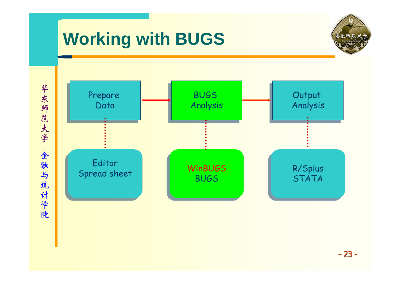## **Working with BUGS**



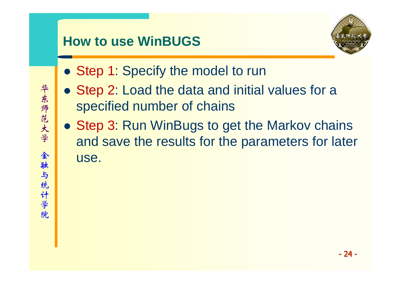### **How to use WinBUGS**



- Step 1: Specify the model to run
- Step 2: Load the data and initial values for a specified number of chains
- Step 3: Run WinBugs to get the Markov chains and save the results for the parameters for later use.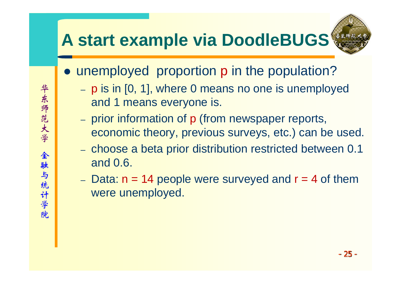### **A start example via DoodleBUGS**



- unemployed proportion p in the population?
	- p is in [0, 1], where 0 means no one is unemployed and 1 means everyone is.
	- prior information of p (from newspaper reports, economic theory, previous surveys, etc.) can be used.
	- choose a beta prior distribution restricted between 0.1 and 0.6.
	- Data:  $n = 14$  people were surveyed and  $r = 4$  of them were unemployed.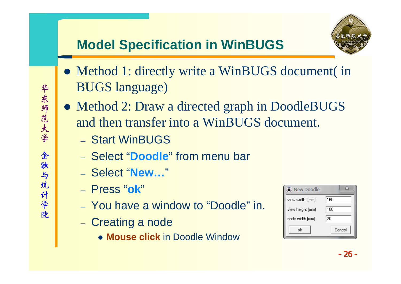### **Model Specification in WinBUGS**

- Method 1: directly write a WinBUGS document (in BUGS language)
- Method 2: Draw a directed graph in DoodleBUGS and then transfer into a WinBUGS document.
	- Start WinBUGS
	- Select "**Doodle**" from menu bar
	- Select "**New…**"
	- Press "**ok** "
	- You have a window to "Doodle" in.
	- –- Creating a node
		- **Mouse click** in Doodle Window

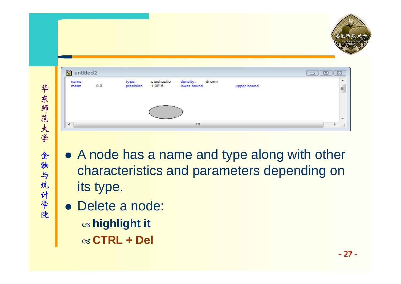

| B<br>untitled <sub>2</sub><br>$\Box$ |     |                    |                      |                               |  | $\parallel$ o<br>83 |          |
|--------------------------------------|-----|--------------------|----------------------|-------------------------------|--|---------------------|----------|
| name:<br>mean                        | 0.0 | type:<br>precision | stochastic<br>1.0E-6 | density: dnorm<br>lower bound |  | upper bound         | $\equiv$ |
|                                      |     |                    |                      |                               |  |                     |          |
| ⊣                                    |     |                    |                      | m.                            |  |                     | .11      |

- A node has a name and type along with other characteristics and parameters depending on its type.
- Delete a node:  $\bm{\mathsf{\scriptstyle{\alpha}}}$  highlight it W **CTRL + Del**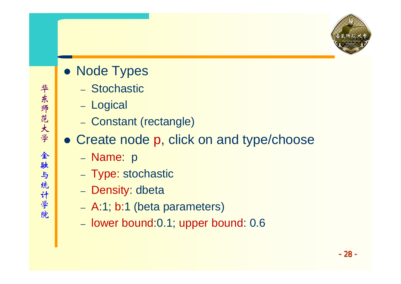

- Node Types
	- Stochastic
	- Logical
	- Constant (rectangle)
- Create node p, click on and type/choose
	- **Name**: p
	- Type: stochastic
	- Density: dbeta
	- A:1; b:1 (beta parameters)
	- lower bound:0.1; upper bound: 0.6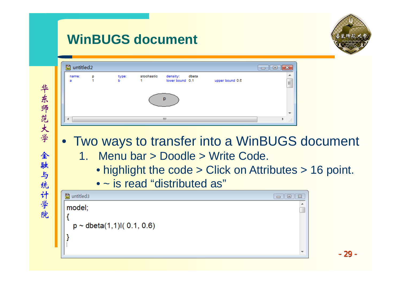### **WinBUGS document**



- Two ways to transfer into a WinBUGS document
	- 1. Menu bar > Doodle > Write Code.
		- highlight the code > Click on Attributes > 16 point.
		- ~ is read "distributed as"

| 圖 untitled3                     | $\mathbb{R}^2$<br>回<br>$\Box$ |
|---------------------------------|-------------------------------|
| model;                          | ▴                             |
|                                 |                               |
| $p \sim$ dbeta(1,1)l( 0.1, 0.6) |                               |
|                                 |                               |
|                                 |                               |
|                                 | $\overline{\phantom{a}}$      |

- 29 -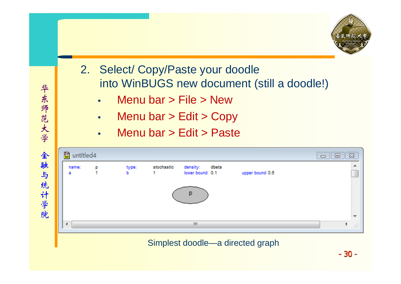

- 2. Select/ Copy/Paste your doodle into WinBUGS new document (still a doodle!)
	- •Menu bar > File > New
	- •Menu bar > Edit > Copy
	- •Menu bar > Edit > Paste

| untitled4<br>閆 |   |            |            |                                   |  |                 | $4$ er<br>$\Box$ | $\Sigma$ |
|----------------|---|------------|------------|-----------------------------------|--|-----------------|------------------|----------|
| name:<br>а     | p | type:<br>ь | stochastic | density: dbeta<br>lower bound 0.1 |  | upper bound 0.6 |                  | ▲        |
| p              |   |            |            |                                   |  |                 |                  |          |
| ∢              |   |            |            | W.                                |  |                 | b.               | ai.      |

#### Simplest doodle—a directed graph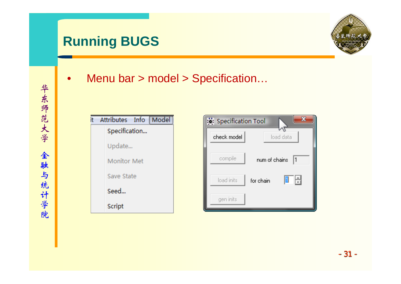### **Running BUGS**



•Menu bar > model > Specification…

| it | Attributes Info Model |
|----|-----------------------|
|    | Specification         |
|    | Update                |
|    | <b>Monitor Met</b>    |
|    | Save State            |
|    | Seed                  |
|    | Script                |

| Specification Tool |               |                   |
|--------------------|---------------|-------------------|
| check model        |               | load data         |
| compile            | num of chains | 1                 |
| load inits         | for chain     | $\overline{\div}$ |
| gen inits          |               |                   |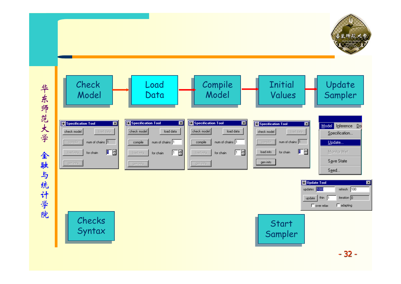

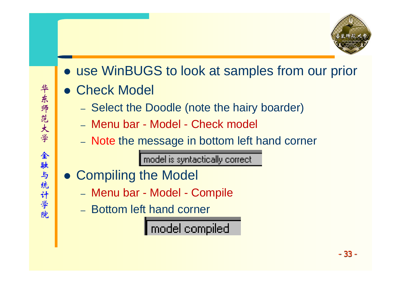

- use WinBUGS to look at samples from our prior
- **Check Model** 
	- –- Select the Doodle (note the hairy boarder)
	- Menu bar Model Check model
	- Note the message in bottom left hand corner

model is syntactically correct

- Compiling the Model
	- Menu bar Model Compile
	- Bottom left hand corner

model compiled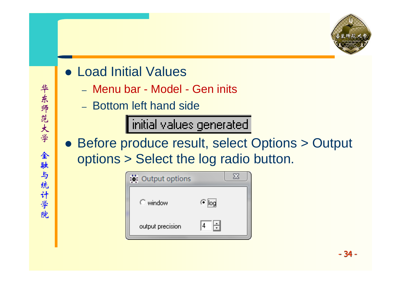

- Load Initial Values
	- Menu bar Model Gen inits
	- –Bottom left hand side

| initial values generated

• Before produce result, select Options > Output options > Select the log radio button.

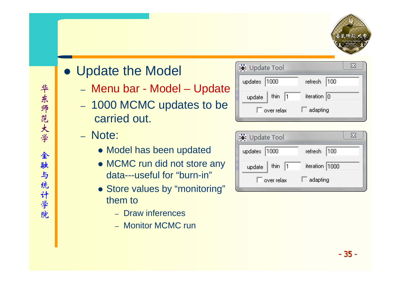

### • Update the Model

- Menu bar Model Update
- 1000 MCMC updates to be carried out.
- Note:
	- Model has been updated
	- MCMC run did not store any data---useful for "burn-in"
	- Store values by "monitoring" them to
		- Draw inferences
		- Monitor MCMC run

| Ve Update Tool      |                 |
|---------------------|-----------------|
| updates 1000        | refresh   100   |
| thin $ 1$<br>update | iteration $ 0 $ |
| over relax          | adapting        |

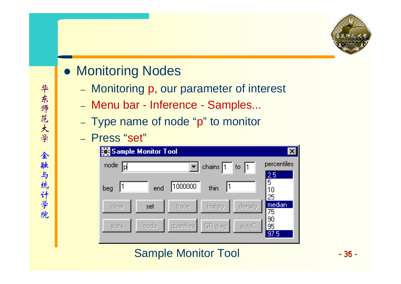

### • Monitoring Nodes

- Monitoring p, our parameter of interest
- Menu bar Inference Samples...
- Type name of node "p" to monitor
- Press "set"

| <b>Sample Monitor Tool</b><br>$\vert x \vert$ |       |           |                        |         |                            |  |  |
|-----------------------------------------------|-------|-----------|------------------------|---------|----------------------------|--|--|
| node<br>Ρ                                     |       |           | chains $\Pi$           | to $ 1$ | percentiles                |  |  |
| beg                                           | end   | 000000    | $\blacksquare$<br>thin |         | <b>2时</b><br>5<br>10<br>25 |  |  |
| clear                                         | iset. | trace.    | history                | density | median<br>75               |  |  |
| stats                                         | coda  | quantiles | GR diag                | autoC.  | 90<br>95<br>97.5           |  |  |

#### Sample Monitor Tool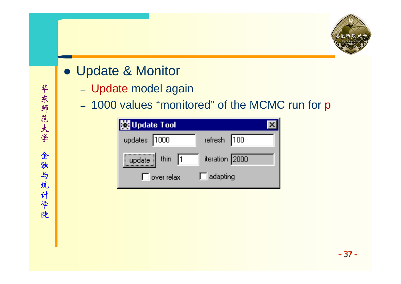

- Update & Monitor
	- Update model again
	- –- 1000 values "monitored" of the MCMC run for p

| <b>Ex Update Tool</b>                                                                      |                 |
|--------------------------------------------------------------------------------------------|-----------------|
| updates 1000                                                                               | refresh   100   |
| $\begin{array}{ c c c c }\n\hline \text{update} & \text{thin} & \overline{1}\n\end{array}$ | iteration 2000  |
| $\Gamma$ over relax                                                                        | $\Box$ adapting |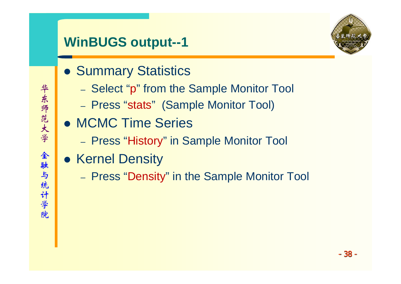### **WinBUGS output--1**

- **Summary Statistics** 
	- Select " p" from the Sample Monitor Tool
	- Press "stats" (Sample Monitor Tool)
- MCMC Time Series
	- Press "History" in Sample Monitor Tool
- Kernel Density
	- –- Press "Density" in the Sample Monitor Tool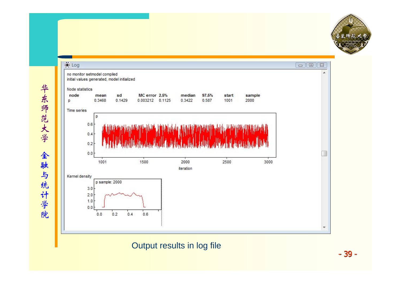

 $E3$ 

 $\blacktriangle$ 

 $\Box$ 

3000



Output results in log file

- 39 -

 $\overline{\phantom{a}}$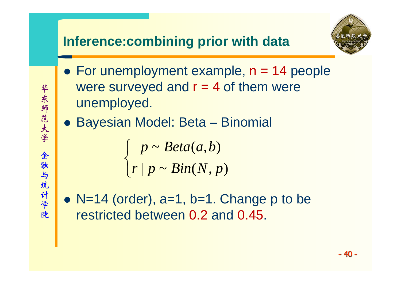#### **Inference:combining prior with data**

- For unemployment example,  $n = 14$  people were surveyed and  $r = 4$  of them were unemployed.
- **Bayesian Model: Beta Binomial**

|<br>|-<br>| 1980 | 1980 | 1980 | 1980 | 1980 | 1980 | 1980 | 1980 | 1980 | 1980 | 1980 | 1980 | 1980 | 1980 | 1980 | ~ $(a,b)$  $r | p \thicksim Bin(N, p)$ *p* ~ *Beta*(*a*,*b*  $Bin(N, p)$  $\sqrt{2}$ ⎨  $\overline{\phantom{a}}$ 

•  $N=14$  (order),  $a=1$ ,  $b=1$ . Change p to be restricted between 0.2 and 0.45.

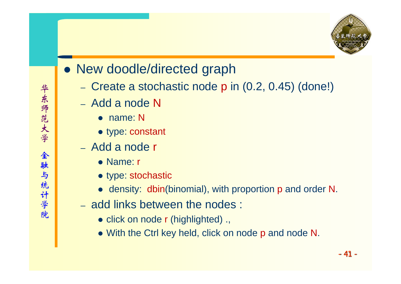

- New doodle/directed graph
	- Create a stochastic node p in (0.2, 0.45) (done!)
	- Add a node N
		- name: N
		- type: constant
	- Add a node r
		- Name: r
		- type: stochastic
		- density: dbin(binomial), with proportion p and order N.
	- add links between the nodes :
		- click on node r (highlighted) .,
		- With the Ctrl key held, click on node p and node N.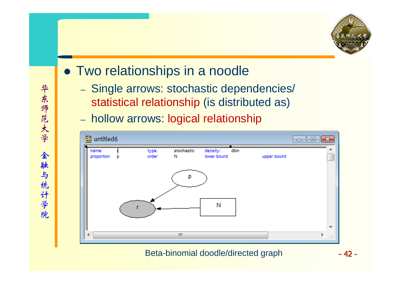

- Two relationships in a noodle
	- Single arrows: stochastic dependencies/ statistical relationship (is distributed as)
	- hollow arrows: logical relationship



Beta-binomial doodle/directed graph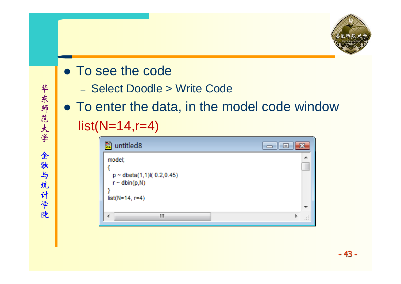

- To see the code
	- Select Doodle > Write Code
- To enter the data, in the model code window  $list(N=14,r=4)$

| EI<br>untitled <sub>8</sub>                                                          |             |
|--------------------------------------------------------------------------------------|-------------|
| model;<br>$p \sim$ dbeta(1,1)l( 0.2,0.45)<br>$r \sim$ dbin(p,N)<br>$list(N=14, r=4)$ | 画           |
|                                                                                      | <b>Tel:</b> |
| Ш<br>4                                                                               | - 11        |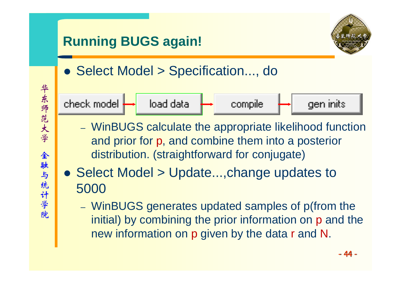

- WinBUGS calculate the appropriate likelihood function and prior for p, and combine them into a posterior distribution. (straightforward for conjugate)
- Select Model > Update...,change updates to 5000
	- WinBUGS generates updated samples of p(from the initial) by combining the prior information on p and the new information on p given by the data r and N.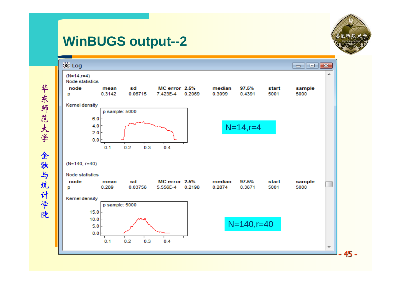#### **WinBUGS output--2**



华东师范大学 华东师范大学 金融与统计学院 金融与统计学院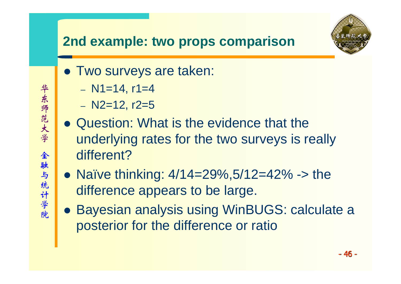#### **2nd example: two props comparison**

- **Two surveys are taken:** 
	- N1=14, r1=4
	- N2=12, r2=5
- Question: What is the evidence that the underlying rates for the two surveys is really different?
- Naïve thinking:  $4/14=29\%, 5/12=42\%$  -> the difference appears to be large.
- **Bayesian analysis using WinBUGS: calculate a** posterior for the difference or ratio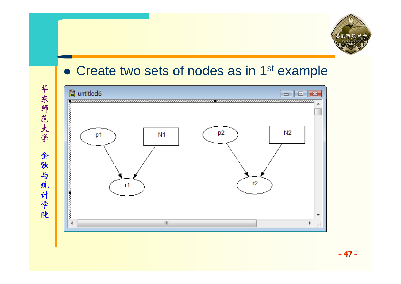

#### • Create two sets of nodes as in 1<sup>st</sup> example



华东师范大学 华东师范大学 金融与统计学院 金融与统计学院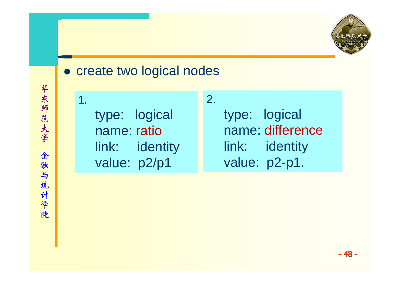

#### • create two logical nodes

```
1. type: logical
  name: ratiolink: identity
  value: p2/p1
```
type: logical name: differencelink: identity value: p2-p1.

2.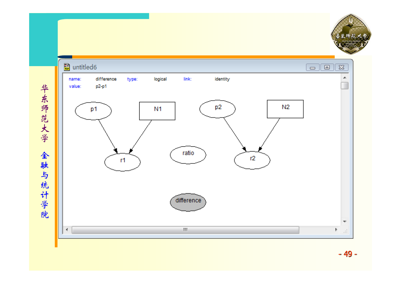

华东师范大学 华东师范大学 金融与统计学院 金融与统计学院

- 49 -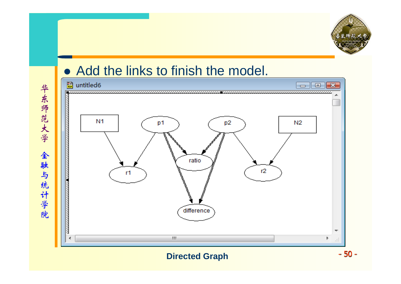

### • Add the links to finish the model.

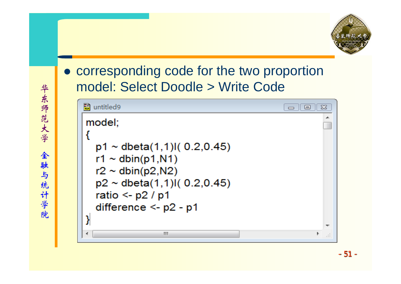#### $\bullet$  corresponding code for the two proportion model: Select Doodle > Write Code

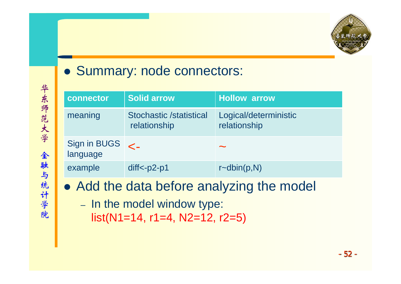

#### • Summary: node connectors:

| connector                | Solid arrow                                    | <b>Hollow arrow</b>                   |
|--------------------------|------------------------------------------------|---------------------------------------|
| meaning                  | <b>Stochastic /statistical</b><br>relationship | Logical/deterministic<br>relationship |
| Sign in BUGS<br>language | $\leftarrow$                                   | $\sim$                                |
| example                  | $diff < -p2-p1$                                | $r\text{-dbin}(p,N)$                  |

- Add the data before analyzing the model
	- In the model window type:  $list(N1=14, r1=4, N2=12, r2=5)$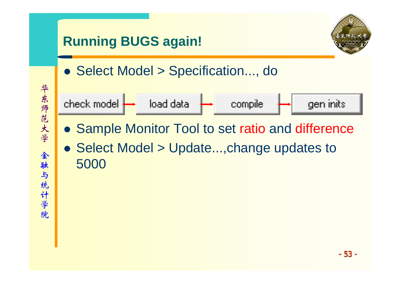

- Sample Monitor Tool to set ratio and difference
- Select Model > Update...,change updates to 5000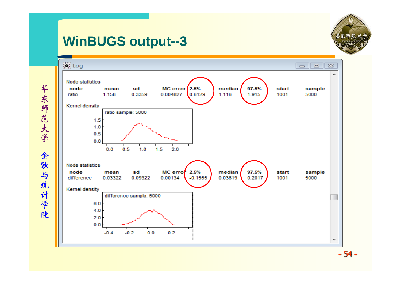### **WinBUGS output--3**



华东师范大学 华东师范大学 全 金融与统计学院 融与统计学院

- 54 -

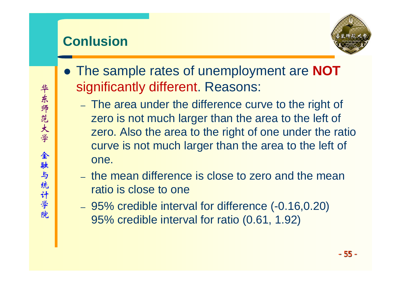# **Conlusion**



- **The sample rates of unemployment are NOT** significantly different. Reasons:
	- –- The area under the difference curve to the right of zero is not much larger than the area to the left of zero. Also the area to the right of one under the ratio curve is not much larger than the area to the left of one.
	- the mean difference is close to zero and the mean ratio is close to one
	- 95% credible interval for difference (-0.16,0.20) 95% credible interval for ratio (0.61, 1.92)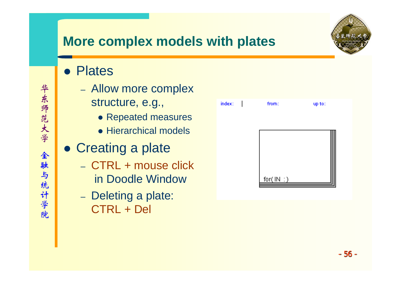

- Plates
	- Allow more complex
		- structure, e.g.,
			- Repeated measures
			- Hierarchical models
- Creating a plate
	- CTRL + mouse click in Doodle Window
	- Deleting a plate: CTRL + Del

| index: | from:       | up to: |
|--------|-------------|--------|
|        |             |        |
|        |             |        |
|        |             |        |
|        | for $(M:$ ) |        |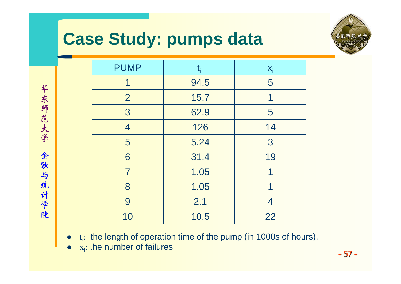# **Case Study: pumps data**



| <b>PUMP</b>    | $t_i$ | $X_i$ |
|----------------|-------|-------|
| 1              | 94.5  | 5     |
| $\overline{2}$ | 15.7  | 1     |
| 3              | 62.9  | 5     |
| $\overline{4}$ | 126   | 14    |
| 5              | 5.24  | 3     |
| 6              | 31.4  | 19    |
| $\overline{7}$ | 1.05  | 1     |
| 8              | 1.05  | 1     |
| 9              | 2.1   | 4     |
| 10             | 10.5  | 22    |

- $\bullet$  $t_i$ : the length of operation time of the pump (in 1000s of hours).
- $\bullet$  $x_i$ : the number of failures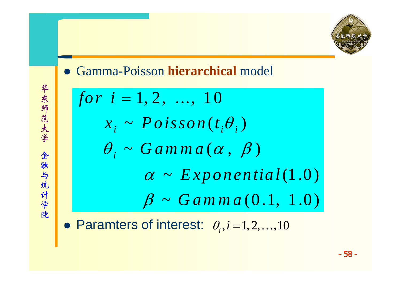

z Gamma-Poisson **hierarchical** model

for 
$$
i = 1, 2, ..., 10
$$
  
\n $x_i \sim Poisson(t_i \theta_i)$   
\n $\theta_i \sim Gamma(\alpha, \beta)$   
\n $\alpha \sim Exponential(1.0)$   
\n $\beta \sim Gamma(0.1, 1.0)$   
\n\nParamters of interest:  $\theta_i$ ,  $i = 1, 2, ..., 10$ 

 $\bullet$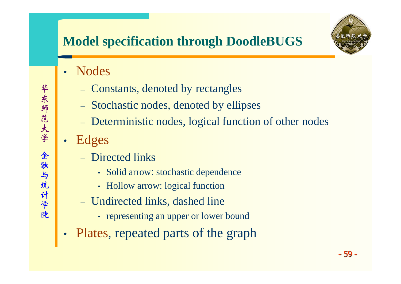# **Model specification through DoodleBUGS**

- Nodes
	- –Constants, denoted by rectangles
	- Stochastic nodes, denoted by ellipses
	- Deterministic nodes, logical function of other nodes
- • Edges
	- Directed links
		- Solid arrow: stochastic dependence
		- Hollow arrow: logical function
	- Undirected links, dashed line
		- representing an upper or lower bound
- •Plates, repeated parts of the graph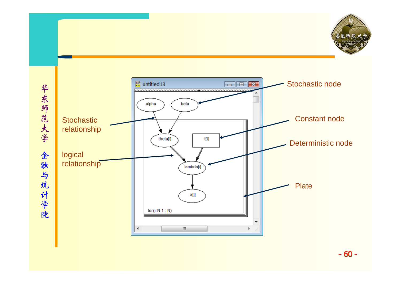



- 60 -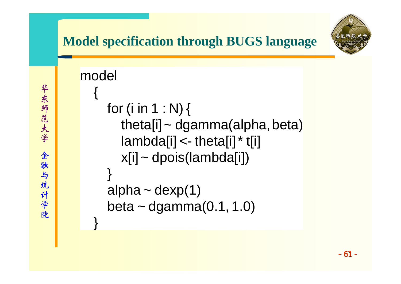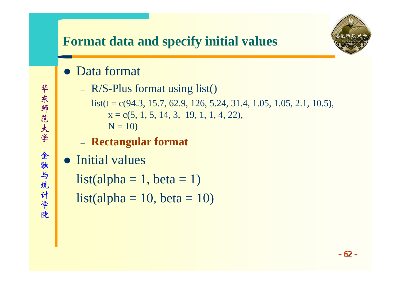

- Data format
	- R/S-Plus format using list()

list(t = c(94.3, 15.7, 62.9, 126, 5.24, 31.4, 1.05, 1.05, 2.1, 10.5),  $x = c(5, 1, 5, 14, 3, 19, 1, 1, 4, 22),$  $N = 10$ 

- **Rectangular format**
- Initial values

 $list(alpha = 1, beta = 1)$  $list(alpha = 10, beta = 10)$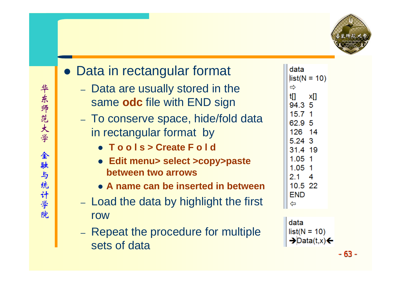

# • Data in rectangular format

- Data are usually stored in the same **odc** file with END sign
- To conserve space, hide/fold data in rectangular format by
	- z **T o o l s > Create F o l d**
	- z **Edit menu> select >copy>paste between two arrows**
	- **A name can be inserted in between**
- Load the data by highlight the first row
- –- Repeat the procedure for multiple sets of data

| data<br>⇨ | $list(N = 10)$ |
|-----------|----------------|
| t[]       | хIJ            |
| 94.3 5    |                |
| 15.7      | 1              |
| 62.9 5    |                |
| 126 14    |                |
| 5.24 3    |                |
| 31.4 19   |                |
| 1.05      | 1              |
| 1.05 1    |                |
| 2.1       | 4              |
| 10.5 22   |                |
| END       |                |
| ⇦         |                |

```
data
list(N = 10)\rightarrowData(t,x)\leftarrow
```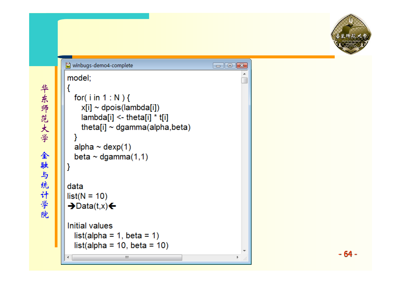```
winbugs-demo4-complete
                                               \Box \Box \Boxmodel;
  for(iin 1: N) {
     x[i] ~ dpois(lambda[i])
     lambda[i] <theta[i] * t[i]
     theta[i] \sim dgamma(alpha, beta)
  alpha \sim dexp(1)
  beta \sim dgamma(1,1)data
list(N = 10)\rightarrowData(t,x)\leftarrowInitial values
  list(alpha = 1, beta = 1)list(alpha = 10, beta = 10)HI.
```
- 64 -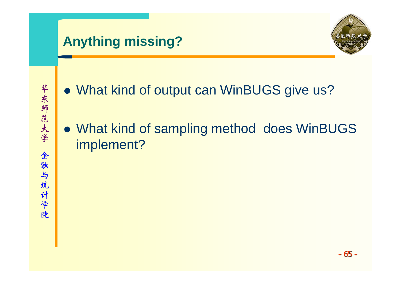# **Anything missing?**



- What kind of output can WinBUGS give us?
- What kind of sampling method does WinBUGS implement?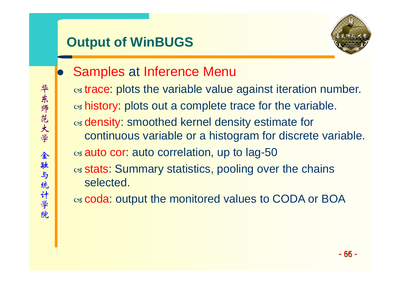# **Output of WinBUGS**



 $\bullet$  Samples at Inference Menu  $\alpha$  trace: plots the variable value against iteration number.  $\alpha$  history: plots out a complete trace for the variable.  $\alpha$  density: smoothed kernel density estimate for continuous variable or a histogram for discrete variable.  $\alpha$  auto cor: auto correlation, up to lag-50  $\alpha$  stats: Summary statistics, pooling over the chains selected.

 $\alpha$  coda: output the monitored values to CODA or BOA

- 66 -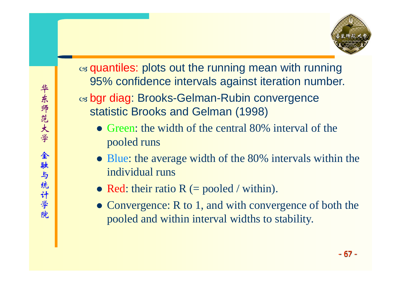

 $\alpha$  quantiles: plots out the running mean with running 95% confidence intervals against iteration number.

 $\alpha$  bgr diag: Brooks-Gelman-Rubin convergence statistic Brooks and Gelman (1998)

- Green: the width of the central  $80\%$  interval of the pooled runs
- Blue: the average width of the 80% intervals within the individual runs
- Red: their ratio  $R$  (= pooled / within).
- Convergence:  $R$  to 1, and with convergence of both the pooled and within interval widths to stability.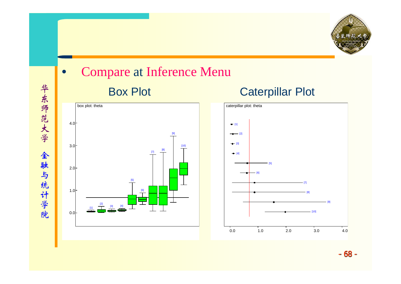

 $\bullet$  Compare at Inference Menu Box Plot Caterpillar Plot







华东师范大学 华东师范大学 全融与统计学院 金融与统计学院

- 68 -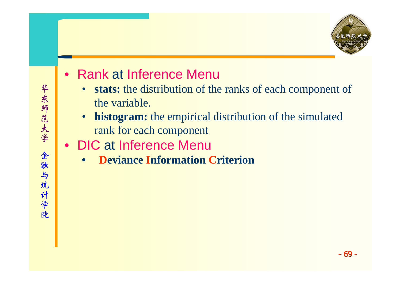

- $\bullet$ • Rank at Inference Menu
	- $\bullet$  **stats:** the distribution of the ranks of each component of the variable.
	- • **histogram:** the empirical distribution of the simulated rank for each component
- DIC at Inference Menu
	- •**Deviance Information Criterion**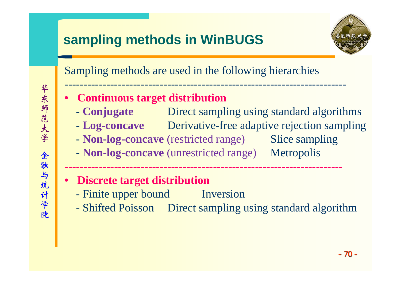# **sampling methods in WinBUGS**



Sampling methods are used in the following hierarchies

--------------------------------------------------------------------------

- • **Continuous target distribution**
	- -**Conjugate** Direct sampling using standard algorithms
	- -- **Log-concave** Derivative-free adaptive rejection sampling
	- **Non-log-concave** (restricted range) Slice sampling
	- -- **Non-log-concave** (unrestricted range) Metropolis

**-------------------------------------------------------------------------**

- • **Discrete target distribution**
	- -Finite upper bound Inversion
	- Shifted Poisson Direct sampling using standard algorithm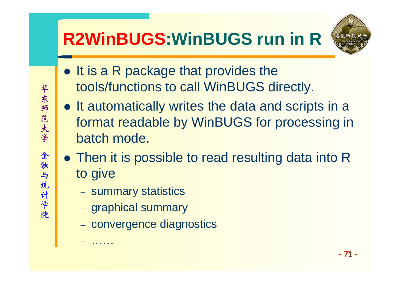# **R2WinBUGS:WinBUGS run in R**



- $\bullet$  It is a R package that provides the tools/functions to call WinBUGS directly.
- It automatically writes the data and scripts in a format readable by WinBUGS for processing in batch mode.
- Then it is possible to read resulting data into R to give
	- –- summary statistics
	- –– graphical summary

……

- convergence diagnostics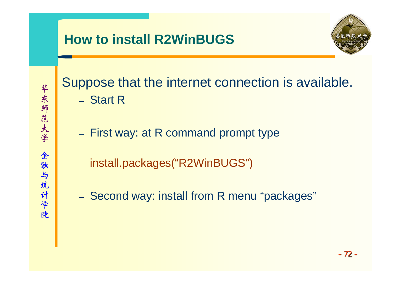## **How to install R2WinBUGS**



华东师范大学 华东师范大学 全融与统计学院 金融与统计学院

# Suppose that the internet connection is available. – Start R

- –- First way: at R command prompt type
	- install.packages("R2WinBUGS")
- –- Second way: install from R menu "packages"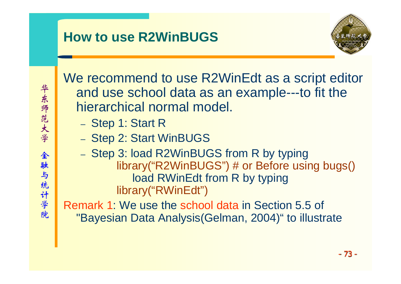

We recommend to use R2WinEdt as a script editor and use school data as an example---to fit the hierarchical normal model.

- –Step 1: Start R
- Step 2: Start WinBUGS
- Step 3: load R2WinBUGS from R by typing library("R2WinBUGS") # or Before using bugs() load RWinEdt from R by typing library("RWinEdt")

Remark 1: We use the school data in Section 5.5 of "Bayesian Data Analysis(Gelman, 2004)" to illustrate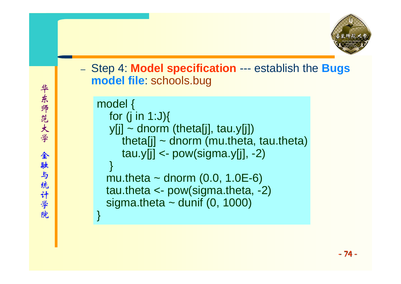

– Step 4: **Model specification** --- establish the **Bugs model file**: schools.bug

```
model {
  for (j in 1:J)\{y[j] ~ dnorm (theta[j], tau.y[j])
     theta[j] \sim dnorm (mu.theta, tau.theta)
     tau.y[i] < -pow(sigma.y[i], -2)}
 mu.theta \sim dnorm (0.0, 1.0E-6)
 tau.theta <- pow(sigma.theta, -2)
 sigma.theta \sim dunif (0, 1000)
```
}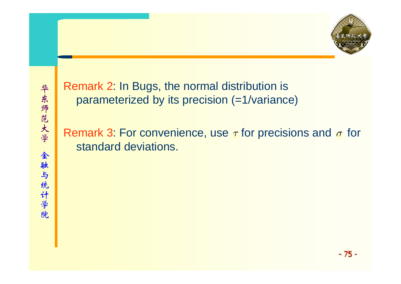Remark 2: In Bugs, the normal distribution is parameterized by its precision (=1/variance)

Remark 3: For convenience, use  $\tau$  for precisions and  $\sigma$  for standard deviations.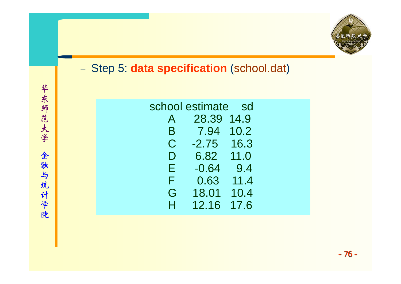

#### –- Step 5: **data specification** (school.dat)

|   | school estimate | sd   |
|---|-----------------|------|
| A | 28.39           | 14.9 |
| Β | 7.94            | 10.2 |
| C | $-2.75$         | 16.3 |
| D | 6.82            | 11.0 |
| Е | $-0.64$         | 9.4  |
| F | 0.63            | 11.4 |
| G | 18.01           | 10.4 |
| H | 12.16           | 17.6 |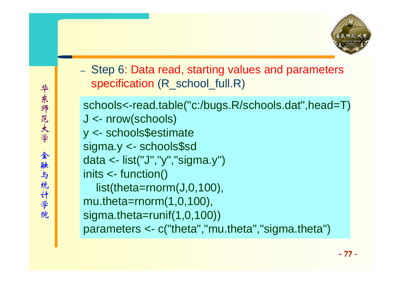

- Step 6: Data read, starting values and parameters specification (R\_school\_full.R)

schools<-read.table("c:/bugs.R/schools.dat",head=T) J <- nrow(schools) y <- schools\$estimate sigma.y <- schools\$sd data <- list("J","y","sigma.y") inits <- function() list(theta=rnorm(J,0,100), mu.theta=rnorm(1,0,100), sigma.theta=runif(1,0,100)) parameters <- c("theta","mu.theta","sigma.theta")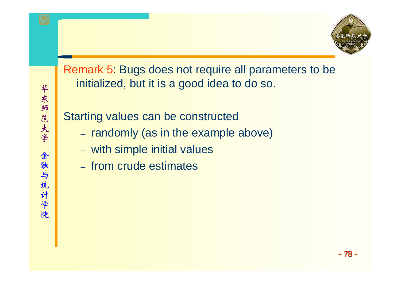

### Remark 5: Bugs does not require all parameters to be initialized, but it is a good idea to do so.

Starting values can be constructed

- randomly (as in the example above)
- with simple initial values
- from crude estimates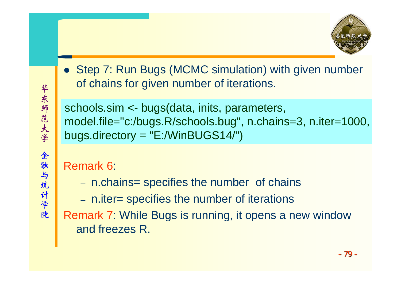- 华东师范大学 华东师范大学 全 金融与统计学院 融与统计学院
- Step 7: Run Bugs (MCMC simulation) with given number of chains for given number of iterations.

schools.sim <- bugs(data, inits, parameters, model.file="c:/bugs.R/schools.bug", n.chains=3, n.iter=1000, bugs.directory <sup>=</sup>"E:/WinBUGS14/")

### Remark 6:

- n.chains= specifies the number of chains
- n.iter= specifies the number of iterations
- Remark 7: While Bugs is running, it opens a new window and freezes R.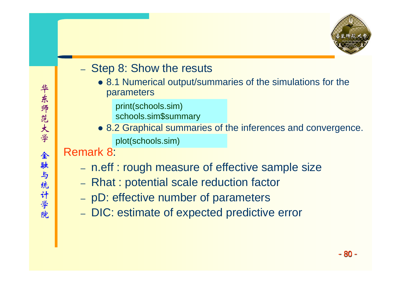

#### –- Step 8: Show the resuts

• 8.1 Numerical output/summaries of the simulations for the parameters

print(schools.sim)

schools.sim\$summary

• 8.2 Graphical summaries of the inferences and convergence. plot(schools.sim)

### Remark 8:

- n.eff : rough measure of effective sample size
- Rhat : potential scale reduction factor
- –pD: effective number of parameters
- DIC: estimate of expected predictive error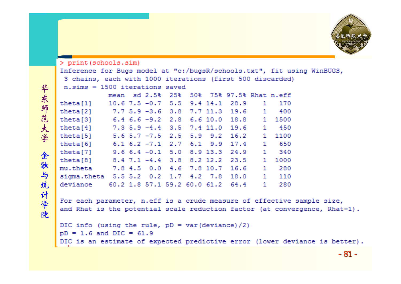```
> print (schools.sim)
Inference for Bugs model at "c:/bugsR/schools.txt", fit using WinBUGS,
3 chains, each with 1000 iterations (first 500 discarded)
n.sims = 1500 iterations savedmean sd 2.5% 25% 50% 75% 97.5% Rhat n.eff
        10.6 7.5 -0.7 5.5 9.4 14.1 28.9
                                             1 170
theta[1]7.7 5.9 -3.6 3.8 7.7 11.3 19.6
theta[2]
                                             1 400
           6.4 6.6 -9.2 2.8 6.6 10.0 18.8theta[3]1 1500
           7.3 5.9 -4.4 3.5 7.4 11.0 19.6 1 450
theta[4]5.6 5.7 -7.5 2.5 5.9 9.2 16.21 1100
theta[5]
theta[6]
           6.1\text{ }6.2\text{ }-7.1\text{ }2.7\text{ }6.1\text{ }9.9\text{ }17.41 - 6509.66.4 -0.15.08.913.324.91 340
theta[7]
theta[8]
           8.4 7.1 -4.4 3.8 8.2 12.2 23.5
                                             1 1000
mu.theta
           7.8 4.5 0.0 4.6 7.8 10.7 16.6
                                             1 280
sigma.theta 5.5 5.2 0.2 1.7 4.2 7.8
                                      18.01 110
deviance 60.2 1.8 57.1 59.2 60.0 61.2 64.4
                                             1 280
```
For each parameter, n.eff is a crude measure of effective sample size, and Rhat is the potential scale reduction factor (at convergence, Rhat=1).

```
DIC info (using the rule, pD = var (deviance) /2)
pD = 1.6 and DIC = 61.9DIC is an estimate of expected predictive error (lower deviance is better).
```

```
- 81 -
```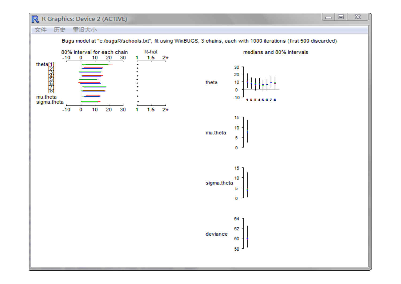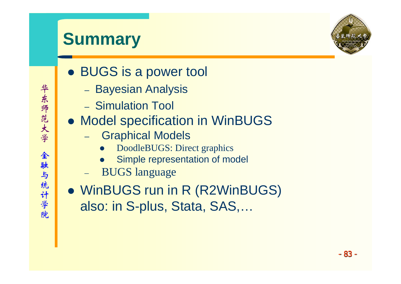# **Summary**



- BUGS is a power tool
	- –– Bayesian Analysis
	- Simulation Tool
- Model specification in WinBUGS
	- – Graphical Models
		- $\bullet$ DoodleBUGS: Direct graphics
		- $\bullet$ Simple representation of model
	- BUGS language
- WinBUGS run in R (R2WinBUGS) also: in S-plus, Stata, SAS,…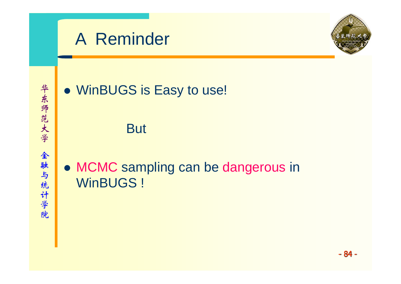



## • WinBUGS is Easy to use!

**But** 

• MCMC sampling can be dangerous in WinBUGS !